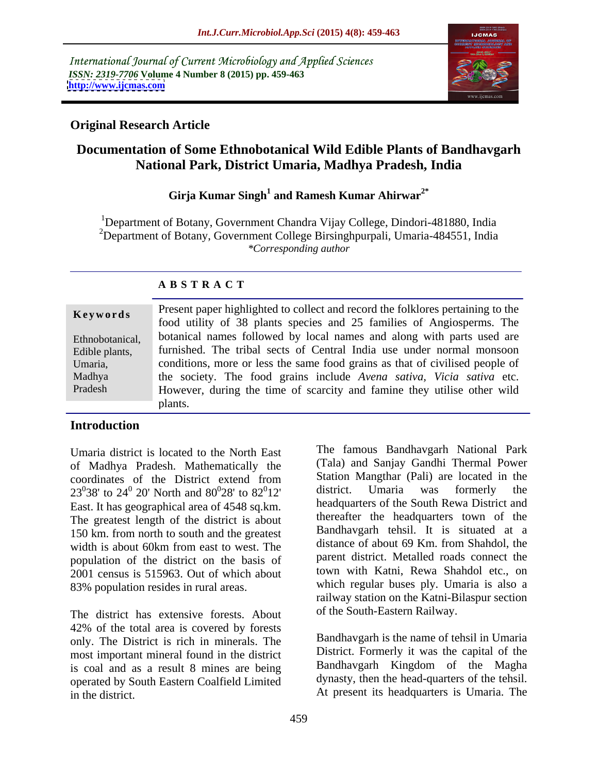International Journal of Current Microbiology and Applied Sciences *ISSN: 2319-7706* **Volume 4 Number 8 (2015) pp. 459-463 <http://www.ijcmas.com>**



## **Original Research Article**

# **Documentation of Some Ethnobotanical Wild Edible Plants of Bandhavgarh National Park, District Umaria, Madhya Pradesh, India**

## **Girja Kumar Singh<sup>1</sup> and Ramesh Kumar Ahirwar2\***

<sup>1</sup>Department of Botany, Government Chandra Vijay College, Dindori-481880, India <sup>2</sup>Department of Botany, Government College Birsinghpurpali, Umaria-484551, India *\*Corresponding author*

## **A B S T R A C T**

| Keywords        | Present paper highlighted to collect and record the folklores pertaining to the |  |
|-----------------|---------------------------------------------------------------------------------|--|
|                 | food utility of 38 plants species and 25 families of Angiosperms. The           |  |
| Ethnobotanical, | botanical names followed by local names and along with parts used are           |  |
| Edible plants,  | furnished. The tribal sects of Central India use under normal monsoon           |  |
| Umaria,         | conditions, more or less the same food grains as that of civilised people of    |  |
| Madhya          | the society. The food grains include Avena sativa, Vicia sativa etc.            |  |
| Pradesh         | However, during the time of scarcity and famine they utilise other wild         |  |
|                 | plants.                                                                         |  |

### **Introduction**

Umaria district is located to the North East of Madhya Pradesh. Mathematically the East. It has geographical area of 4548 sq.km. The greatest length of the district is about 150 km. from north to south and the greatest width is about 60km from east to west. The population of the district on the basis of 2001 census is 515963. Out of which about 83% population resides in rural areas.

The district has extensive forests. About 42% of the total area is covered by forests only. The District is rich in minerals. The most important mineral found in the district is coal and as a result 8 mines are being operated by South Eastern Coalfield Limited in the district. At present its headquarters is Umaria. The

coordinates of the District extend from  $23<sup>0</sup>38'$  to  $24<sup>0</sup>$  20' North and  $80<sup>0</sup>28'$  to  $82<sup>0</sup>12'$  district. Umaria was formerly the 0  $28'$  to  $82^012'$  district. Umaria was formerly the  $\mathfrak{g}_{12}$ , district. Umaria was formerly the 12' district. Umaria was formerly the The famous Bandhavgarh National Park (Tala) and Sanjay Gandhi Thermal Power Station Mangthar (Pali) are located in the district. Umaria was formerly the headquarters of the South Rewa District and thereafter the headquarters town of the Bandhavgarh tehsil. It is situated at a distance of about 69 Km. from Shahdol, the parent district. Metalled roads connect the town with Katni, Rewa Shahdol etc., on which regular buses ply. Umaria is also a railway station on the Katni-Bilaspur section of the South-Eastern Railway.

> Bandhavgarh is the name of tehsil in Umaria District. Formerly it was the capital of the Bandhavgarh Kingdom of the Magha dynasty, then the head-quarters of the tehsil.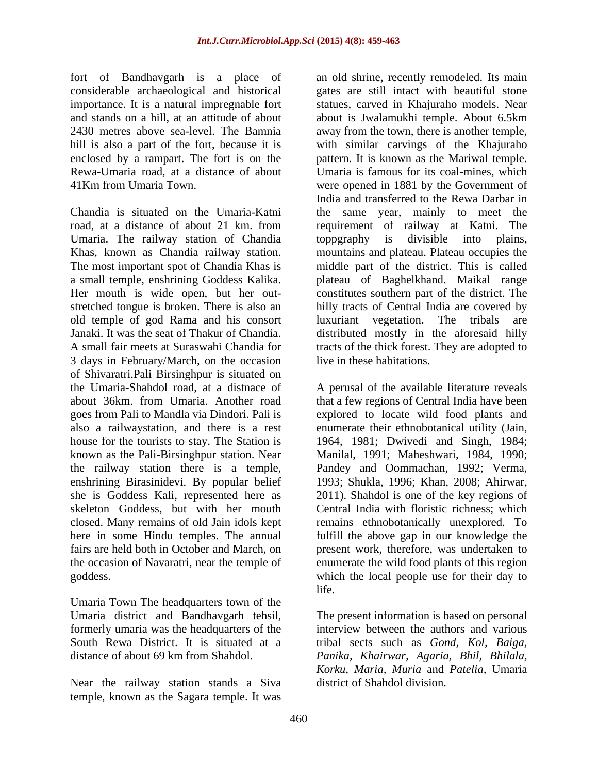fort of Bandhavgarh is a place of considerable archaeological and historical enclosed by a rampart. The fort is on the

Umaria. The railway station of Chandia stretched tongue is broken. There is also an old temple of god Rama and his consort luxuriant vegetation. The tribals are 3 days in February/March, on the occasion of Shivaratri.Pali Birsinghpur is situated on the Umaria-Shahdol road, at a distnace of A perusal of the available literature reveals about 36km. from Umaria. Another road that a few regions of Central India have been goes from Pali to Mandla via Dindori. Pali is explored to locate wild food plants and also a railwaystation, and there is a rest enumerate their ethnobotanical utility (Jain, house for the tourists to stay. The Station is 1964, 1981; Dwivedi and Singh, 1984; known as the Pali-Birsinghpur station. Near Manilal, 1991; Maheshwari, 1984, 1990; the railway station there is a temple, Pandey and Oommachan, 1992; Verma, enshrining Birasinidevi. By popular belief she is Goddess Kali, represented here as she is Goddess Kali, represented here as 2011). Shahdol is one of the key regions of skeleton Goddess, but with her mouth Central India with floristic richness; which closed. Many remains of old Jain idols kept remains ethnobotanically unexplored. To here in some Hindu temples. The annual fulfill the above gap in our knowledge the fairs are held both in October and March, on present work, therefore, was undertaken to the occasion of Navaratri, near the temple of enumerate the wild food plants of this region

Umaria Town The headquarters town of the

Near the railway station stands a Siva temple, known as the Sagara temple. It was

importance. It is a natural impregnable fort statues, carved in Khajuraho models. Near and stands on a hill, at an attitude of about about is Jwalamukhi temple. About 6.5km 2430 metres above sea-level. The Bamnia away from the town, there is another temple, hill is also a part of the fort, because it is with similar carvings of the Khajuraho Rewa-Umaria road, at a distance of about Umaria is famous for its coal-mines, which 41Km from Umaria Town. were opened in 1881 by the Government of Chandia is situated on the Umaria-Katni be same year, mainly to meet the road, at a distance of about 21 km. from requirement of railway at Katni. The Khas, known as Chandia railway station. mountains and plateau. Plateau occupies the The most important spot of Chandia Khas is middle part of the district. This is called a small temple, enshrining Goddess Kalika. plateau of Baghelkhand. Maikal range Her mouth is wide open, but her out-<br>constitutes southern part of the district. The Janaki. It was the seat of Thakur of Chandia. distributed mostly in the aforesaid hilly A small fair meets at Suraswahi Chandia for tracts of the thick forest. They are adopted to an old shrine, recently remodeled. Its main gates are still intact with beautiful stone pattern. It is known as the Mariwal temple. India and transferred to the Rewa Darbar in toppgraphy is divisible into plains, hilly tracts of Central India are covered by luxuriant vegetation. The tribals live in these habitations.

goddess. which the local people use for their day to 1993; Shukla, 1996; Khan, 2008; Ahirwar, life.

Umaria district and Bandhavgarh tehsil, The present information is based on personal formerly umaria was the headquarters of the interview between the authors and various South Rewa District. It is situated at a tribal sects such as *Gond, Kol, Baiga,* distance of about 69 km from Shahdol. *Panika, Khairwar, Agaria, Bhil, Bhilala, Korku, Maria, Muria* and *Patelia,* Umaria district of Shahdol division.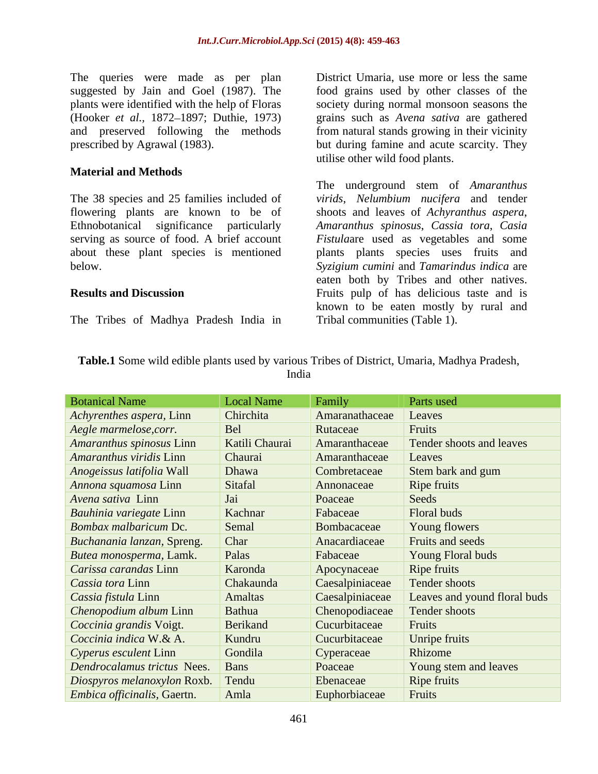The queries were made as per plan suggested by Jain and Goel (1987). The food grains used by other classes of the plants were identified with the help of Floras society during normal monsoon seasons the (Hooker *et al.,* 1872 1897; Duthie, 1973) grains such as *Avena sativa* are gathered and preserved following the methods from natural stands growing in their vicinity prescribed by Agrawal (1983). but during famine and acute scarcity. They

### **Material and Methods**

The 38 species and 25 families included of *virids*, *Nelumbium nucifera* and tender flowering plants are known to be of shoots and leaves of *Achyranthus aspera*, Ethnobotanical significance particularly *Amaranthus spinosus*, *Cassia tora*, *Casia*  serving as source of food. A brief account *Fistula*are used as vegetables and some about these plant species is mentioned plants plants species uses fruits and below. *Syzigium cumini* and *Tamarindus indica* are

The Tribes of Madhya Pradesh India in

District Umaria, use more or less the same utilise other wild food plants.

**Results and Discussion** Fruits pulp of has delicious taste and is The underground stem of *Amaranthus*  eaten both by Tribes and other natives. known to be eaten mostly by rural and Tribal communities (Table 1).

| Table.<br>$H = 10$<br>s used by various Tribes c<br>Madhya Pradesh<br>Some wild edi.<br>t District<br>e plants<br>' ≀maria. |  |
|-----------------------------------------------------------------------------------------------------------------------------|--|
| India                                                                                                                       |  |

| <b>Botanical Name</b>               | <b>Local Name</b> | Family          | Parts used                   |
|-------------------------------------|-------------------|-----------------|------------------------------|
| <i>Achyrenthes aspera, Linn</i>     | Chirchita         | Amaranathaceae  | <i>Leaves</i>                |
| Aegle marmelose, corr.              | Bel               | Rutaceae        | Fruits                       |
| Amaranthus spinosus Linn            | Katili Chaurai    | Amaranthaceae   | Tender shoots and leaves     |
| Amaranthus viridis Linn             | Chaurai           | Amaranthaceae   | Leaves                       |
| Anogeissus latifolia Wall           | Dhawa             | Combretaceae    | Stem bark and gum            |
| <i>Annona squamosa</i> Linn         | Sitafal           | Annonaceae      | Ripe fruits                  |
| <i>Avena sativa</i> Linn            | Jai               | Poaceae         | Seeds                        |
| Bauhinia variegate Linn             | Kachnar           | Fabaceae        | Floral buds                  |
| Bombax malbaricum Dc.               | Semal             | Bombacaceae     | Young flowers                |
| Buchanania lanzan, Spreng.          | Char              | Anacardiaceae   | Fruits and seeds             |
| Butea monosperma, Lamk.             | Palas             | Fabaceae        | Young Floral buds            |
| Carissa carandas Linn               | Karonda           | Apocynaceae     | Ripe fruits                  |
| Cassia tora Linn                    | Chakaunda         | Caesalpiniaceae | <b>Tender shoots</b>         |
| <i>Cassia fistula Linn</i>          | Amaltas           | Caesalpiniaceae | Leaves and yound floral buds |
| Chenopodium album Linn              | Bathua            | Chenopodiaceae  | Tender shoots                |
| Coccinia grandis Voigt.             | Berikand          | Cucurbitaceae   | Fruits                       |
| Coccinia indica W.& A.              | Kundru            | Cucurbitaceae   | Unripe fruits                |
| Cyperus esculent Linn               | Gondila           | Cyperaceae      | Rhizome                      |
| Dendrocalamus trictus Nees.         | <b>Bans</b>       | Poaceae         | Young stem and leaves        |
| Diospyros melanoxylon Roxb. Tendu   |                   | Ebenaceae       | Ripe fruits                  |
| <i>Embica officinalis</i> , Gaertn. | Amla              | Euphorbiaceae   | Fruits                       |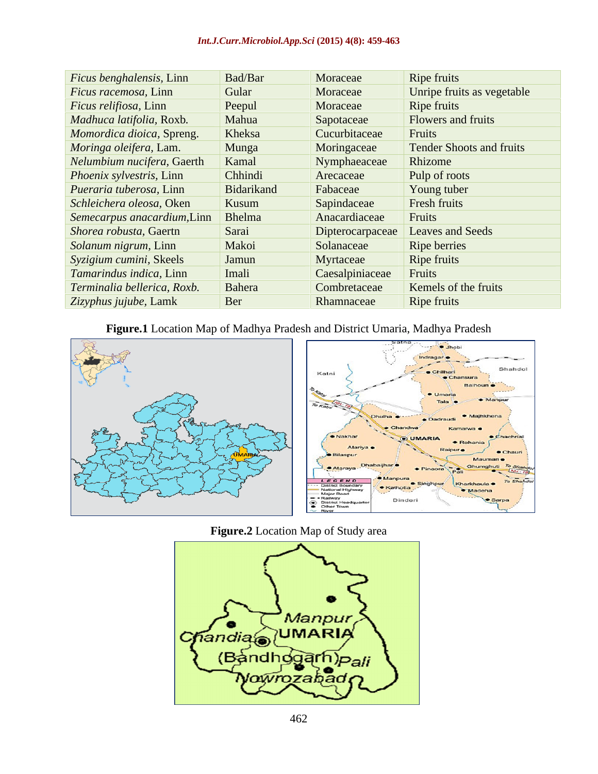### *Int.J.Curr.Microbiol.App.Sci* **(2015) 4(8): 459-463**

| Ficus benghalensis, Linn      | Bad/Bar    | Moraceae         | Ripe fruits                |
|-------------------------------|------------|------------------|----------------------------|
| $Ficus$ racemosa, Linn        | Gular      | Moraceae         | Unripe fruits as vegetable |
| <i>Ficus relifiosa</i> , Linn | Peepul     | Moraceae         | Ripe fruits                |
| Madhuca latifolia, Roxb.      | Mahua      | Sapotaceae       | Flowers and fruits         |
| Momordica dioica, Spreng.     | Kheksa     | Cucurbitaceae    | Fruits                     |
| Moringa oleifera, Lam.        | Munga      | Moringaceae      | Tender Shoots and fruits   |
| Nelumbium nucifera, Gaerth    | Kamal      | Nymphaeaceae     | Rhizome                    |
| Phoenix sylvestris, Linn      | Chhindi    | Arecaceae        | Pulp of roots              |
| Pueraria tuberosa, Linn       | Bidarikand | Fabaceae         | Young tuber                |
| Schleichera oleosa, Oken      | Kusum      | Sapindaceae      | Fresh fruits               |
| Semecarpus anacardium, Linn   | Bhelma     | Anacardiaceae    | Fruits                     |
| Shorea robusta, Gaertn        | Sarai      | Dipterocarpaceae | Leaves and Seeds           |
| <i>Solanum nigrum</i> , Linn  | Makoi      | Solanaceae       | Ripe berries               |
| Syzigium cumini, Skeels       | Jamun      | Myrtaceae        | Ripe fruits                |
| Tamarindus indica, Linn       | Imali      | Caesalpiniaceae  | Fruits                     |
| Terminalia bellerica, Roxb.   | Bahera     | Combretaceae     | Kemels of the fruits       |
| Zizyphus jujube, Lamk         | Ber        | Rhamnaceae       | Ripe fruits                |
|                               |            |                  |                            |

### **Figure.1** Location Map of Madhya Pradesh and District Umaria, Madhya Pradesh



### **Figure.2** Location Map of Study area